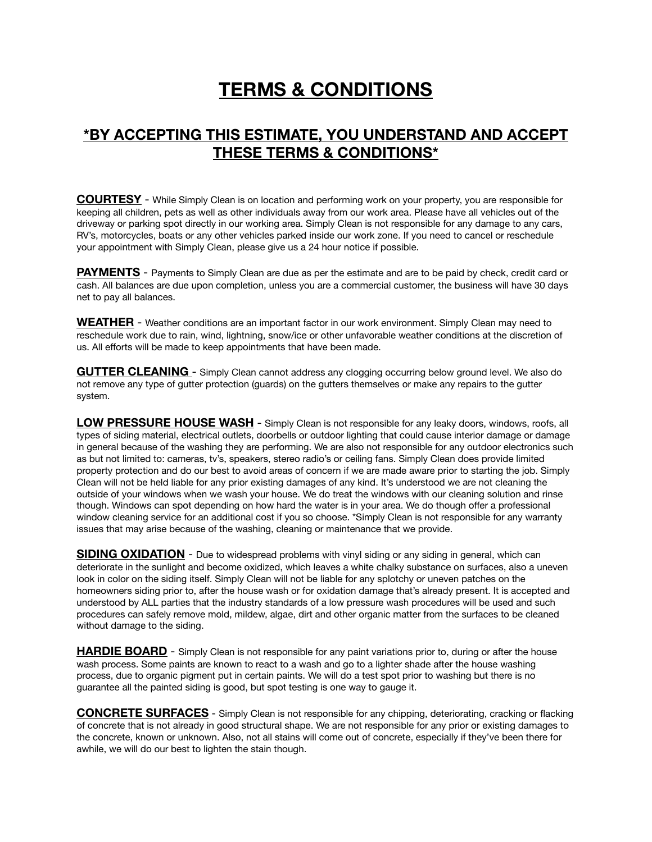## **TERMS & CONDITIONS**

## **\*BY ACCEPTING THIS ESTIMATE, YOU UNDERSTAND AND ACCEPT THESE TERMS & CONDITIONS\***

**COURTESY** - While Simply Clean is on location and performing work on your property, you are responsible for keeping all children, pets as well as other individuals away from our work area. Please have all vehicles out of the driveway or parking spot directly in our working area. Simply Clean is not responsible for any damage to any cars, RV's, motorcycles, boats or any other vehicles parked inside our work zone. If you need to cancel or reschedule your appointment with Simply Clean, please give us a 24 hour notice if possible.

**PAYMENTS** - Payments to Simply Clean are due as per the estimate and are to be paid by check, credit card or cash. All balances are due upon completion, unless you are a commercial customer, the business will have 30 days net to pay all balances.

**WEATHER** - Weather conditions are an important factor in our work environment. Simply Clean may need to reschedule work due to rain, wind, lightning, snow/ice or other unfavorable weather conditions at the discretion of us. All efforts will be made to keep appointments that have been made.

**GUTTER CLEANING** - Simply Clean cannot address any clogging occurring below ground level. We also do not remove any type of gutter protection (guards) on the gutters themselves or make any repairs to the gutter system.

**LOW PRESSURE HOUSE WASH** - Simply Clean is not responsible for any leaky doors, windows, roofs, all types of siding material, electrical outlets, doorbells or outdoor lighting that could cause interior damage or damage in general because of the washing they are performing. We are also not responsible for any outdoor electronics such as but not limited to: cameras, tv's, speakers, stereo radio's or ceiling fans. Simply Clean does provide limited property protection and do our best to avoid areas of concern if we are made aware prior to starting the job. Simply Clean will not be held liable for any prior existing damages of any kind. It's understood we are not cleaning the outside of your windows when we wash your house. We do treat the windows with our cleaning solution and rinse though. Windows can spot depending on how hard the water is in your area. We do though offer a professional window cleaning service for an additional cost if you so choose. \*Simply Clean is not responsible for any warranty issues that may arise because of the washing, cleaning or maintenance that we provide.

**SIDING OXIDATION** - Due to widespread problems with vinyl siding or any siding in general, which can deteriorate in the sunlight and become oxidized, which leaves a white chalky substance on surfaces, also a uneven look in color on the siding itself. Simply Clean will not be liable for any splotchy or uneven patches on the homeowners siding prior to, after the house wash or for oxidation damage that's already present. It is accepted and understood by ALL parties that the industry standards of a low pressure wash procedures will be used and such procedures can safely remove mold, mildew, algae, dirt and other organic matter from the surfaces to be cleaned without damage to the siding.

**HARDIE BOARD** - Simply Clean is not responsible for any paint variations prior to, during or after the house wash process. Some paints are known to react to a wash and go to a lighter shade after the house washing process, due to organic pigment put in certain paints. We will do a test spot prior to washing but there is no guarantee all the painted siding is good, but spot testing is one way to gauge it.

**CONCRETE SURFACES** - Simply Clean is not responsible for any chipping, deteriorating, cracking or flacking of concrete that is not already in good structural shape. We are not responsible for any prior or existing damages to the concrete, known or unknown. Also, not all stains will come out of concrete, especially if they've been there for awhile, we will do our best to lighten the stain though.